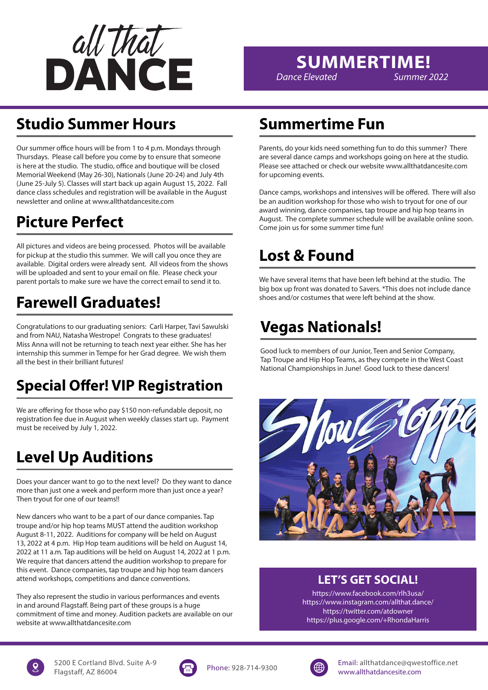

## **SUMMERTIME!**

*Dance Elevated Summer 2022*

## **Studio Summer Hours**

Our summer office hours will be from 1 to 4 p.m. Mondays through Thursdays. Please call before you come by to ensure that someone is here at the studio. The studio, office and boutique will be closed Memorial Weekend (May 26-30), Nationals (June 20-24) and July 4th (June 25-July 5). Classes will start back up again August 15, 2022. Fall dance class schedules and registration will be available in the August newsletter and online at www.allthatdancesite.com

## **Picture Perfect**

All pictures and videos are being processed. Photos will be available for pickup at the studio this summer. We will call you once they are available. Digital orders were already sent. All videos from the shows will be uploaded and sent to your email on file. Please check your parent portals to make sure we have the correct email to send it to.

## **Farewell Graduates!**

Congratulations to our graduating seniors: Carli Harper, Tavi Sawulski and from NAU, Natasha Westrope! Congrats to these graduates! Miss Anna will not be returning to teach next year either. She has her internship this summer in Tempe for her Grad degree. We wish them all the best in their brilliant futures!

## **Special Offer! VIP Registration**

We are offering for those who pay \$150 non-refundable deposit, no registration fee due in August when weekly classes start up. Payment must be received by July 1, 2022.

## **Level Up Auditions**

Does your dancer want to go to the next level? Do they want to dance more than just one a week and perform more than just once a year? Then tryout for one of our teams!!

New dancers who want to be a part of our dance companies. Tap troupe and/or hip hop teams MUST attend the audition workshop August 8-11, 2022. Auditions for company will be held on August 13, 2022 at 4 p.m. Hip Hop team auditions will be held on August 14, 2022 at 11 a.m. Tap auditions will be held on August 14, 2022 at 1 p.m. We require that dancers attend the audition workshop to prepare for this event. Dance companies, tap troupe and hip hop team dancers attend workshops, competitions and dance conventions.

They also represent the studio in various performances and events in and around Flagstaff. Being part of these groups is a huge commitment of time and money. Audition packets are available on our website at www.allthatdancesite.com

## **Summertime Fun**

Parents, do your kids need something fun to do this summer? There are several dance camps and workshops going on here at the studio. Please see attached or check our website www.allthatdancesite.com for upcoming events.

Dance camps, workshops and intensives will be offered. There will also be an audition workshop for those who wish to tryout for one of our award winning, dance companies, tap troupe and hip hop teams in August. The complete summer schedule will be available online soon. Come join us for some summer time fun!

## **Lost & Found**

We have several items that have been left behind at the studio. The big box up front was donated to Savers. \*This does not include dance shoes and/or costumes that were left behind at the show.

## **Vegas Nationals!**

Good luck to members of our Junior, Teen and Senior Company, Tap Troupe and Hip Hop Teams, as they compete in the West Coast National Championships in June! Good luck to these dancers!



### **LET'S GET SOCIAL!**

https://www.facebook.com/rlh3usa/ https://www.instagram.com/allthat.dance/ https://twitter.com/atdowner https://plus.google.com/+RhondaHarris





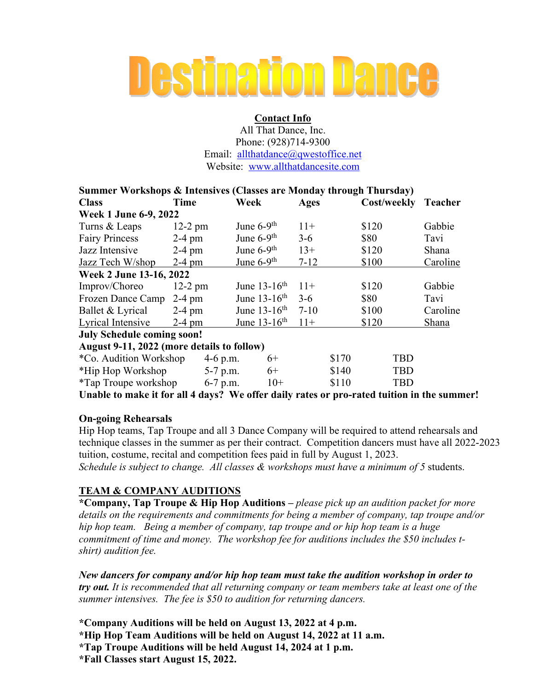# **Destination Dance**

#### **Contact Info**

All That Dance, Inc. Phone: (928)714-9300 Email: allthatdance@qwestoffice.net Website: www.allthatdancesite.com

| <b>Summer Workshops &amp; Intensives (Classes are Monday through Thursday)</b>             |           |            |                            |             |                |             |            |          |
|--------------------------------------------------------------------------------------------|-----------|------------|----------------------------|-------------|----------------|-------------|------------|----------|
| <b>Class</b>                                                                               | Time      | Week       |                            | <b>Ages</b> |                | Cost/weekly |            | Teacher  |
| Week 1 June 6-9, 2022                                                                      |           |            |                            |             |                |             |            |          |
| Turns & Leaps                                                                              | $12-2$ pm |            | June $6-9$ <sup>th</sup>   |             |                | \$120       |            | Gabbie   |
| <b>Fairy Princess</b>                                                                      | $2-4$ pm  |            | June $6-9$ <sup>th</sup>   |             | \$80           |             |            | Tavi     |
| Jazz Intensive                                                                             | $2-4$ pm  |            | June $6-9$ <sup>th</sup>   |             | $13+$<br>\$120 |             |            | Shana    |
| Jazz Tech W/shop                                                                           | $2-4$ pm  |            | June $6-9$ <sup>th</sup>   |             | \$100          |             |            | Caroline |
| Week 2 June 13-16, 2022                                                                    |           |            |                            |             |                |             |            |          |
| Improv/Choreo                                                                              | $12-2$ pm |            | June $13-16$ <sup>th</sup> | $11+$       |                | \$120       |            | Gabbie   |
| Frozen Dance Camp 2-4 pm                                                                   |           |            | June $13-16$ <sup>th</sup> | $3-6$       |                | \$80        |            | Tavi     |
| Ballet & Lyrical                                                                           | $2-4$ pm  |            | June $13-16$ <sup>th</sup> | $7 - 10$    |                | \$100       |            | Caroline |
| Lyrical Intensive                                                                          | $2-4$ pm  |            | June $13-16$ <sup>th</sup> |             | \$120          |             |            | Shana    |
| <b>July Schedule coming soon!</b>                                                          |           |            |                            |             |                |             |            |          |
| August 9-11, 2022 (more details to follow)                                                 |           |            |                            |             |                |             |            |          |
| *Co. Audition Workshop                                                                     |           | 4-6 p.m.   | $6+$                       |             | \$170          |             | <b>TBD</b> |          |
| *Hip Hop Workshop                                                                          |           | $5-7$ p.m. | $6+$                       |             | \$140          |             | <b>TBD</b> |          |
| $*$ Tap Troupe workshop 6-7 p.m.                                                           |           |            | $10+$                      |             | \$110          |             | <b>TBD</b> |          |
| Unable to make it for all 4 days? We offer daily rates or pro-rated tuition in the summer! |           |            |                            |             |                |             |            |          |

#### **On-going Rehearsals**

Hip Hop teams, Tap Troupe and all 3 Dance Company will be required to attend rehearsals and technique classes in the summer as per their contract. Competition dancers must have all 2022-2023 tuition, costume, recital and competition fees paid in full by August 1, 2023. *Schedule is subject to change. All classes & workshops must have a minimum of 5* students.

#### **TEAM & COMPANY AUDITIONS**

**\*Company, Tap Troupe & Hip Hop Auditions –** *please pick up an audition packet for more details on the requirements and commitments for being a member of company, tap troupe and/or hip hop team. Being a member of company, tap troupe and or hip hop team is a huge commitment of time and money. The workshop fee for auditions includes the \$50 includes tshirt) audition fee.* 

*New dancers for company and/or hip hop team must take the audition workshop in order to try out. It is recommended that all returning company or team members take at least one of the summer intensives. The fee is \$50 to audition for returning dancers.* 

**\*Company Auditions will be held on August 13, 2022 at 4 p.m. \*Hip Hop Team Auditions will be held on August 14, 2022 at 11 a.m. \*Tap Troupe Auditions will be held August 14, 2024 at 1 p.m. \*Fall Classes start August 15, 2022.**